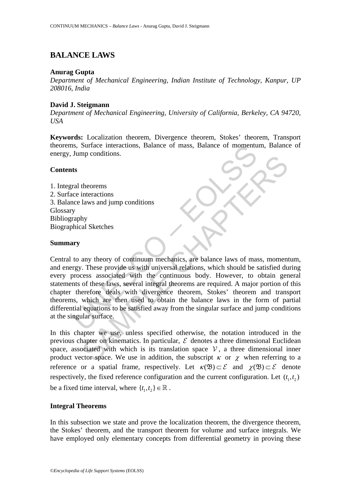# **BALANCE LAWS**

# **Anurag Gupta**

*Department of Mechanical Engineering, Indian Institute of Technology, Kanpur, UP 208016, India*

# **David J. Steigmann**

*Department of Mechanical Engineering, University of California, Berkeley, CA 94720, USA*

**Keywords:** Localization theorem, Divergence theorem, Stokes' theorem, Transport theorems, Surface interactions, Balance of mass, Balance of momentum, Balance of energy, Jump conditions.

# **Contents**

1. Integral theorems 2. Surface interactions 3. Balance laws and jump conditions **Glossary** Bibliography Biographical Sketches

# **Summary**

Is, Surface interactions, Balance of mass, Balance of momentu<br>
Jump conditions.<br>
ts<br>
ral theorems<br>
ce interactions<br>
y<br>
y<br>
y<br>
to any theory of continuum mechanics, are balance laws of mar-<br>
y<br>
araphy<br>
thical Sketches<br>
ary. theorems<br>
interactions<br>
interactions<br>
hy<br>
al Sketches<br>
any theory of continuum mechanics, are balance laws of mass, moment<br>
... These provide us with universal relations, which should be satisfied du<br>
of these laws, sever Central to any theory of continuum mechanics, are balance laws of mass, momentum, and energy. These provide us with universal relations, which should be satisfied during every process associated with the continuous body. However, to obtain general statements of these laws, several integral theorems are required. A major portion of this chapter therefore deals with divergence theorem, Stokes' theorem and transport theorems, which are then used to obtain the balance laws in the form of partial differential equations to be satisfied away from the singular surface and jump conditions at the singular surface.

In this chapter we use, unless specified otherwise, the notation introduced in the previous chapter on kinematics. In particular,  $\mathcal E$  denotes a three dimensional Euclidean space, associated with which is its translation space  $V$ , a three dimensional inner product vector space. We use in addition, the subscript  $\kappa$  or  $\chi$  when referring to a reference or a spatial frame, respectively. Let  $\kappa(\mathfrak{B}) \subset \mathcal{E}$  and  $\chi(\mathfrak{B}) \subset \mathcal{E}$  denote respectively, the fixed reference configuration and the current configuration. Let  $(t_1, t_2)$ be a fixed time interval, where  $\{t_1, t_2\} \in \mathbb{R}$ .

### **Integral Theorems**

In this subsection we state and prove the localization theorem, the divergence theorem, the Stokes' theorem, and the transport theorem for volume and surface integrals. We have employed only elementary concepts from differential geometry in proving these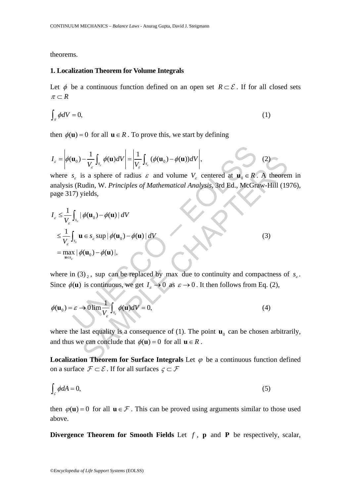theorems.

### **1. Localization Theorem for Volume Integrals**

Let  $\phi$  be a continuous function defined on an open set  $R \subset \mathcal{E}$ . If for all closed sets  $\pi \subset R$ 

$$
\int_{\pi} \phi dV = 0,\tag{1}
$$

then  $\phi(\mathbf{u}) = 0$  for all  $\mathbf{u} \in R$ . To prove this, we start by defining

$$
I_{\varepsilon} = \left| \phi(\mathbf{u}_0) - \frac{1}{V_{\varepsilon}} \int_{s_{\varepsilon}} \phi(\mathbf{u}) dV \right| = \left| \frac{1}{V_{\varepsilon}} \int_{s_{\varepsilon}} (\phi(\mathbf{u}_0) - \phi(\mathbf{u})) dV \right|,
$$
 (2)

where  $s_{\varepsilon}$  is a sphere of radius  $\varepsilon$  and volume  $V_{\varepsilon}$  centered at  $\mathbf{u}_{0} \in R$ . A theorem in analysis (Rudin, W. *Principles of Mathematical Analysis*, 3rd Ed., McGraw-Hill (1976), page 317) yields,

$$
I_{\varepsilon} = \left| \phi(\mathbf{u}_{0}) - \frac{1}{V_{\varepsilon}} \int_{s_{\varepsilon}} \phi(\mathbf{u}) dV \right| = \left| \frac{1}{V_{\varepsilon}} \int_{s_{\varepsilon}} (\phi(\mathbf{u}_{0}) - \phi(\mathbf{u})) dV \right|,
$$
\nwhere  $s_{\varepsilon}$  is a sphere of radius  $\varepsilon$  and volume  $V_{\varepsilon}$  centered at  $\mathbf{u}_{0} \in \mathbb{R}$ . A theorem  
\nanalysis (Rudin, W. *Principles of Mathematical Analysis*, 3rd Ed., McGraw-Hill (19  
\npage 317) yields,  
\n
$$
I_{\varepsilon} \leq \frac{1}{V_{\varepsilon}} \int_{s_{\varepsilon}} |\phi(\mathbf{u}_{0}) - \phi(\mathbf{u})| dV
$$
\n
$$
\leq \frac{1}{V_{\varepsilon}} \int_{s_{\varepsilon}} \mathbf{u} \in s_{\varepsilon} \sup |\phi(\mathbf{u}_{0}) - \phi(\mathbf{u})| dV
$$
\n(3)  
\n= max | $\phi(\mathbf{u}_{0}) - \phi(\mathbf{u})|$ ,  
\nwhere in (3)<sub>2</sub>, sup can be replaced by max due to continuity and compactness of  
\nSince  $\phi(\mathbf{u})$  is continuous, we get  $I_{\varepsilon} \to 0$  as  $\varepsilon \to 0$ . It then follows from Eq. (2),  
\n
$$
\phi(\mathbf{u}_{0}) = \varepsilon \to 0 \lim_{V_{\varepsilon}} \frac{1}{V_{\varepsilon}} \int_{s_{\varepsilon}} \phi(\mathbf{u}) dV = 0,
$$
\n(4)  
\nwhere the last equality is a consequence of (1). The point  $\mathbf{u}_{0}$  can be chosen arbitra  
\nand thus we can conclude that  $\phi(\mathbf{u}) = 0$  for all  $\mathbf{u} \in \mathbb{R}$ .  
\nLocalization Theorem for Surface Integrals Let  $\phi$  be a continuous function def

where in (3), sup can be replaced by max due to continuity and compactness of  $s<sub>c</sub>$ . Since  $\phi(\mathbf{u})$  is continuous, we get  $I_{\varepsilon} \to 0$  as  $\varepsilon \to 0$ . It then follows from Eq. (2),

$$
\phi(\mathbf{u}_0) = \varepsilon \to 0 \lim_{V_{\varepsilon}} \frac{1}{V_{\varepsilon}} \int_{s_{\varepsilon}} \phi(\mathbf{u}) dV = 0, \tag{4}
$$

where the last equality is a consequence of (1). The point  $\mathbf{u}_0$  can be chosen arbitrarily, and thus we can conclude that  $\phi(\mathbf{u}) = 0$  for all  $\mathbf{u} \in R$ .

**Localization Theorem for Surface Integrals** Let  $\varphi$  be a continuous function defined on a surface  $\mathcal{F} \subset \mathcal{E}$ . If for all surfaces  $\zeta \subset \mathcal{F}$ 

$$
\int_{\mathcal{S}} \phi dA = 0,\tag{5}
$$

then  $\varphi$ (**u**) = 0 for all **u** ∈ F. This can be proved using arguments similar to those used above.

**Divergence Theorem for Smooth Fields** Let  $f$ ,  $p$  and  $P$  be respectively, scalar,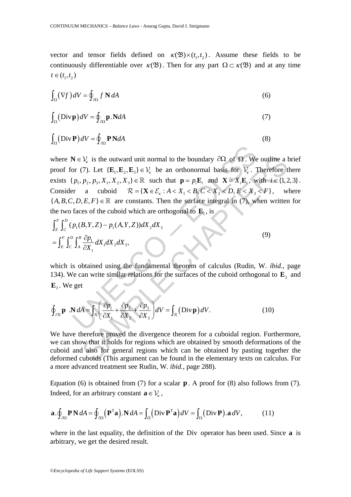vector and tensor fields defined on  $\kappa(\mathfrak{B}) \times (t_1, t_2)$ . Assume these fields to be continuously differentiable over  $\kappa(\mathfrak{B})$ . Then for any part  $\Omega \subset \kappa(\mathfrak{B})$  and at any time  $t \in (t_1, t_2)$ 

$$
\int_{\Omega} (\nabla f) dV = \oint_{\partial \Omega} f \mathbf{N} dA \tag{6}
$$

$$
\int_{\Omega} (\text{Div }\mathbf{p}) dV = \oint_{\partial \Omega} \mathbf{p} . \mathbf{N} dA \tag{7}
$$

$$
\int_{\Omega} (\text{Div }\mathbf{P}) dV = \oint_{\partial \Omega} \mathbf{P} \mathbf{N} dA \tag{8}
$$

 $N \in V_x$  is the outward unit normal to the boundary  $\partial \Omega$  of  $\Omega$ . We<br>or (7). Let  $\{E_1, E_2, E_3\} \in V_x$  be an orthonormal basis for  $V_x$ . 1<br> $p_1, p_2, p_3, X_1, X_2, X_3 \in \mathbb{R}$  such that  $\mathbf{p} = p_1E_x$  and  $\mathbf{X} = X_iE_x$ , we<br> *V<sub>x</sub>* is the outward unit normal to the boundary  $\partial\Omega$  of  $\Omega$ . We outline a l<br>(7). Let {**E**<sub>1</sub>,**E**<sub>2</sub>,**E**<sub>3</sub>}  $\in$ *V<sub>x</sub>* be an orthonormal basis for *V<sub>x</sub>*. Therefore t<br> *P*<sub>2</sub>,*P*<sub>3</sub>,*X*<sub>1</sub>, *X*<sub>2</sub>, *X*<sub>3</sub>}  $\in$ *R* su where  $N \in V_k$  is the outward unit normal to the boundary  $\partial \Omega$  of  $\Omega$ . We outline a brief proof for (7). Let  $\{E_1, E_2, E_3\} \in V_k$  be an orthonormal basis for  $V_k$ . Therefore there exists  $\{p_1, p_2, p_3, X_1, X_2, X_3\} \in \mathbb{R}$  such that  $\mathbf{p} = p_i \mathbf{E}_i$  and  $\mathbf{X} = X_i \mathbf{E}_i$ , with  $i \in \{1, 2, 3\}$ . Consider a cuboid  $\mathcal{R} = \{ \mathbf{X} \in \mathcal{E}_k : A < X_1 < B, C < X_2 < D, E < X_3 < F \}$ , where  ${A, B, C, D, E, F} \in \mathbb{R}$  are constants. Then the surface integral in (7), when written for the two faces of the cuboid which are orthogonal to  $\mathbf{E}_1$ , is

$$
\int_{E}^{F} \int_{C}^{D} (p_{1}(B, Y, Z) - p_{1}(A, Y, Z)) dX_{2} dX_{3}
$$
\n
$$
= \int_{E}^{F} \int_{C}^{D} \int_{A}^{B} \frac{\partial p_{1}}{\partial X_{1}} dX_{1} dX_{2} dX_{3},
$$
\n(9)

which is obtained using the fundamental theorem of calculus (Rudin, W. *ibid.*, page 134). We can write similar relations for the surfaces of the cuboid orthogonal to  $\mathbf{E}_2$  and  $\mathbf{E}_3$ . We get

$$
\oint_{\partial \mathcal{R}} \mathbf{p} \cdot \mathbf{N} dA = \int_{\mathcal{R}} \left( \frac{\partial p_1}{\partial X_1} + \frac{\partial p_2}{\partial X_2} + \frac{\partial p_3}{\partial X_3} \right) dV = \int_{\mathcal{R}} (\text{Div } \mathbf{p}) dV. \tag{10}
$$

We have therefore proved the divergence theorem for a cuboidal region. Furthermore, we can show that it holds for regions which are obtained by smooth deformations of the cuboid and also for general regions which can be obtained by pasting together the deformed cuboids (This argument can be found in the elementary texts on calculus. For a more advanced treatment see Rudin, W. *ibid.*, page 288).

Equation (6) is obtained from (7) for a scalar **p** . A proof for (8) also follows from (7). Indeed, for an arbitrary constant  $\mathbf{a} \in \mathcal{V}_{\kappa}$ ,

$$
\mathbf{a} \cdot \oint_{\partial \Omega} \mathbf{P} \mathbf{N} \, dA = \oint_{\partial \Omega} \left( \mathbf{P}^{\mathrm{T}} \mathbf{a} \right) . \mathbf{N} \, dA = \int_{\Omega} \left( \text{Div } \mathbf{P}^{\mathrm{T}} \mathbf{a} \right) dV = \int_{\Omega} \left( \text{Div } \mathbf{P} \right) . \mathbf{a} \, dV, \tag{11}
$$

where in the last equality, the definition of the Div operator has been used. Since **a** is arbitrary, we get the desired result.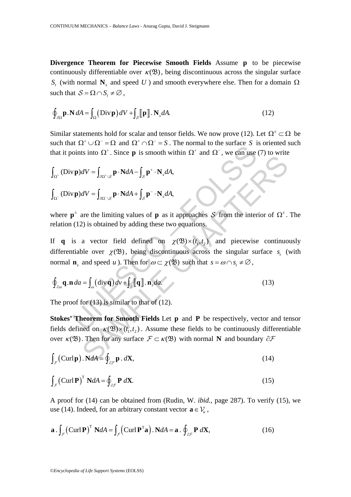**Divergence Theorem for Piecewise Smooth Fields** Assume **p** to be piecewise continuously differentiable over  $\kappa(\mathfrak{B})$ , being discontinuous across the singular surface *S<sub>t</sub>* (with normal **N**<sub>*s*</sub> and speed *U* ) and smooth everywhere else. Then for a domain Ω such that  $S = \Omega \cap S$ ,  $\neq \emptyset$ ,

$$
\oint_{\partial\Omega} \mathbf{p} \cdot \mathbf{N} \, dA = \int_{\Omega} (\text{Div } \mathbf{p}) \, dV + \int_{\mathcal{S}} \llbracket \mathbf{p} \rrbracket \cdot \mathbf{N}_s \, dA. \tag{12}
$$

Similar statements hold for scalar and tensor fields. We now prove (12). Let  $\Omega^{\pm} \subset \Omega$  be such that  $\Omega^+ \cup \Omega^- = \Omega$  and  $\Omega^+ \cap \Omega^- = S$ . The normal to the surface *S* is oriented such that it points into  $\Omega^*$ . Since **p** is smooth within  $\Omega^*$  and  $\Omega^-$ , we can use (7) to write

$$
\int_{\Omega^+} (\text{Div }\mathbf{p}) dV = \int_{\partial \Omega^+ \backslash S} \mathbf{p} \cdot \mathbf{N} dA - \int_S \mathbf{p}^+ \cdot \mathbf{N}_s dA,
$$
  

$$
\int_{\Omega^-} (\text{Div }\mathbf{p}) dV = \int_{\partial \Omega^- \backslash S} \mathbf{p} \cdot \mathbf{N} dA + \int_S \mathbf{p}^- \cdot \mathbf{N}_s dA,
$$

where  $\mathbf{p}^{\pm}$  are the limiting values of **p** as it approaches S from the interior of  $\Omega^{\pm}$ . The relation (12) is obtained by adding these two equations.

 $U = \int_{\alpha V \setminus S} \mathbf{p} \cdot \mathbf{N} dA - \int_{S} \mathbf{p}^{+} \cdot \mathbf{N}_{s} dA$ ,<br>  $(\mathbf{p})dV = \int_{\alpha V \setminus S} \mathbf{p} \cdot \mathbf{N} dA + \int_{S} \mathbf{p}^{-} \cdot \mathbf{N}_{s} dA$ ,<br>  $(\mathbf{p})dV = \int_{\alpha V \setminus S} \mathbf{p} \cdot \mathbf{N} dA + \int_{S} \mathbf{p}^{-} \cdot \mathbf{N}_{s} dA$ ,<br>  $(\mathbf{p})dV = \int_{\alpha V \setminus S} \mathbf{p$  $dV = \int_{\partial\Omega^{\vee}\backslash\mathcal{S}} \mathbf{p} \cdot \mathbf{N} dA - \int_{\mathcal{S}} \mathbf{p}^{\perp} \cdot \mathbf{N} dA$ ,<br>  $dV = \int_{\partial\Omega^{\vee}\backslash\mathcal{S}} \mathbf{p} \cdot \mathbf{N} dA + \int_{\mathcal{S}} \mathbf{p}^{\perp} \cdot \mathbf{N} dA$ ,<br>
are the limiting values of **p** as it approaches  $S$  from the interior o If **q** is a vector field defined on  $\chi(\mathfrak{B}) \times (t_1, t_2)$  and piecewise continuously differentiable over  $\chi$ ( $\mathfrak{B}$ ), being discontinuous across the singular surface  $s_t$  (with normal **n**<sub>c</sub> and speed *u* ). Then for  $\omega \subset \chi(\mathfrak{B})$  such that  $s = \omega \cap s_t \neq \emptyset$ ,

$$
\oint_{\partial\omega} \mathbf{q} \cdot \mathbf{n} \, da = \int_{\omega} (\text{div}\,\mathbf{q}) \, dv + \int_{\mathcal{S}} [\![\mathbf{q}]\!] \cdot \mathbf{n}_s da. \tag{13}
$$

The proof for  $(13)$  is similar to that of  $(12)$ .

**Stokes' Theorem for Smooth Fields** Let **p** and **P** be respectively, vector and tensor fields defined on  $\kappa(\mathfrak{B}) \times (t_1, t_2)$ . Assume these fields to be continuously differentiable over  $\kappa$  (**2**). Then for any surface  $\mathcal{F} \subset \kappa$  (**2**) with normal **N** and boundary  $\partial \mathcal{F}$ 

$$
\int_{\mathcal{F}} (\text{Curlp}) \cdot \text{N} dA = \oint_{\partial \mathcal{F}} \mathbf{p} \cdot d\mathbf{X},\tag{14}
$$

$$
\int_{\mathcal{F}} \left( \text{Curl } \mathbf{P} \right)^{\text{T}} \mathbf{N} dA = \oint_{\partial \mathcal{F}} \mathbf{P} \ d\mathbf{X}.
$$
\n(15)

A proof for (14) can be obtained from (Rudin, W. *ibid.*, page 287). To verify (15), we use (14). Indeed, for an arbitrary constant vector  $\mathbf{a} \in \mathcal{V}_k$ ,

$$
\mathbf{a} \cdot \int_{\mathcal{F}} \left( \mathbf{Curl} \, \mathbf{P} \right)^{\mathrm{T}} \, \mathbf{N} dA = \int_{\mathcal{F}} \left( \mathbf{Curl} \, \mathbf{P}^{\mathrm{T}} \mathbf{a} \right) \cdot \mathbf{N} dA = \mathbf{a} \cdot \oint_{\partial \mathcal{F}} \mathbf{P} \, d\mathbf{X},\tag{16}
$$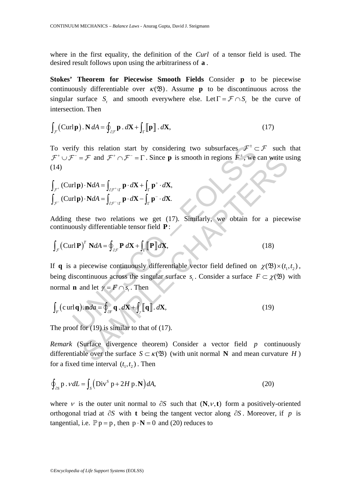where in the first equality, the definition of the *Curl* of a tensor field is used. The desired result follows upon using the arbitrariness of **a** .

**Stokes' Theorem for Piecewise Smooth Fields** Consider **p** to be piecewise continuously differentiable over  $\kappa(\mathfrak{B})$ . Assume **p** to be discontinuous across the singular surface *S*, and smooth everywhere else. Let  $\Gamma = \mathcal{F} \cap S$ , be the curve of intersection. Then

$$
\int_{\mathcal{F}} (\text{Curl}\,\mathbf{p}) \cdot \mathbf{N} \, dA = \oint_{\partial \mathcal{F}} \mathbf{p} \cdot d\mathbf{X} + \int_{\Gamma} [\![\mathbf{p}]\!] \cdot d\mathbf{X},\tag{17}
$$

To verify this relation start by considering two subsurfaces  $\mathcal{F}^{\pm} \subset \mathcal{F}$  such that  $\mathcal{F}^+ \cup \mathcal{F}^- = \mathcal{F}$  and  $\mathcal{F}^+ \cap \mathcal{F}^- = \Gamma$ . Since **p** is smooth in regions  $F^{\pm}$ , we can write using (14)

$$
\int_{\mathcal{F}^+} (\text{Curl}\,\mathbf{p}) \cdot \mathbf{N} dA = \int_{\partial \mathcal{F}^+ \backslash \Gamma} \mathbf{p} \cdot d\mathbf{X} + \int_{\Gamma} \mathbf{p}^+ \cdot d\mathbf{X},
$$

$$
\int_{\mathcal{F}^-} (\text{Curl}\,\mathbf{p}) \cdot \mathbf{N} dA = \int_{\partial \mathcal{F}^- \backslash \Gamma} \mathbf{p} \cdot d\mathbf{X} - \int_{\Gamma} \mathbf{p}^- \cdot d\mathbf{X}.
$$

Adding these two relations we get (17). Similarly, we obtain for a piecewise continuously differentiable tensor field **P**:

$$
\int_{\mathcal{F}} \left( \mathbf{Curl} \, \mathbf{P} \right)^{T} \, \mathbf{N} dA = \oint_{\partial \mathcal{F}} \mathbf{P} \, d\mathbf{X} + \int_{\Gamma} \left[ \mathbf{P} \right] d\mathbf{X},\tag{18}
$$

ify this relation start by considering two subsurfaces  $\mathcal{F}^{\pm} \subset$ <br>  $\mathcal{F}^{-} = \mathcal{F}$  and  $\mathcal{F}^{+} \cap \mathcal{F}^{-} = \Gamma$ . Since **p** is smooth in regions  $\mathcal{F}^{\pm}$ , we<br>
rl**p**)  $\mathbf{N}dA = \int_{\partial \mathcal{F}^{-1}\Gamma} \mathbf{p} \cdot d\mathbf{X} + \int_{\$ F\* and F\* ∩ F<sup>-</sup> = Γ. Since **p** is smooth in regions F<sup>\*</sup>, we can write u<br>
SP and  $F^+ ∩ F^- = \Gamma$ . Since **p** is smooth in regions  $F^+$ , we can write u<br>
SP and  $A = \int_{\partial F \cap \Gamma} \mathbf{p} \cdot d\mathbf{X} + \int_{\Gamma} \mathbf{p} \cdot d\mathbf{X}$ .<br>
ese two If **q** is a piecewise continuously differentiable vector field defined on  $\chi(\mathfrak{B}) \times (t_1, t_2)$ , being discontinuous across the singular surface  $s<sub>i</sub>$ . Consider a surface  $F \subset \chi(\mathfrak{B})$  with normal **n** and let  $\gamma = F \cap s_t$ . Then

$$
\int_{F} \left( \mathbf{curl} \, \mathbf{q} \right) \cdot \mathbf{n} da = \oint_{\partial F} \mathbf{q} \cdot d\mathbf{X} + \int_{\gamma} \left[ \mathbf{q} \right] \cdot d\mathbf{X},\tag{19}
$$

The proof for  $(19)$  is similar to that of  $(17)$ .

*Remark* (Surface divergence theorem) Consider a vector field *p* continuously differentiable over the surface  $S \subset \kappa(\mathfrak{B})$  (with unit normal **N** and mean curvature *H*) for a fixed time interval  $(t_1, t_2)$ . Then

$$
\oint_{\partial S} \mathbf{p} \cdot \nu dL = \int_{S} \left( \text{Div}^{S} \mathbf{p} + 2H \mathbf{p} \cdot \mathbf{N} \right) dA, \tag{20}
$$

where v is the outer unit normal to  $\partial S$  such that  $(N, \nu, t)$  form a positively-oriented orthogonal triad at ∂*S* with **t** being the tangent vector along ∂*S* . Moreover, if *p* is tangential, i.e.  $\mathbb{P} p = p$ , then  $p \cdot \mathbf{N} = 0$  and (20) reduces to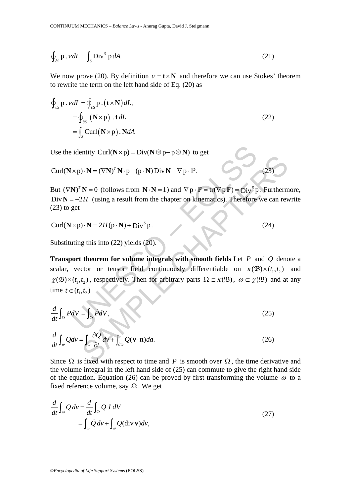$$
\oint_{\partial S} \mathbf{p} \cdot \mathbf{v} dL = \int_{S} \mathbf{Div}^{S} \, \mathbf{p} \, dA. \tag{21}
$$

We now prove (20). By definition  $v = t \times N$  and therefore we can use Stokes' theorem to rewrite the term on the left hand side of Eq. (20) as

$$
\oint_{\partial S} \mathbf{p} \cdot \mathbf{v} dL = \oint_{\partial S} \mathbf{p} \cdot (\mathbf{t} \times \mathbf{N}) dL,
$$
\n
$$
= \oint_{\partial S} (\mathbf{N} \times \mathbf{p}) \cdot \mathbf{t} dL
$$
\n
$$
= \int_{S} \text{Curl}(\mathbf{N} \times \mathbf{p}) \cdot \mathbf{N} dA
$$
\n(22)

Use the identity  $\text{Curl}(N \times p) = \text{Div}(N \otimes p - p \otimes N)$  to get

$$
Curl(N \times p) \cdot N = (\nabla N)^T N \cdot p - (p \cdot N) Div N + \nabla p \cdot P.
$$
\n(23)

But  $(\nabla \mathbf{N})^T \mathbf{N} = 0$  (follows from  $\mathbf{N} \cdot \mathbf{N} = 1$ ) and  $\nabla p \cdot \mathbf{P} = \text{tr}(\nabla p \mathbf{P}) = \text{Div}^S p$ . Furthermore, Div  $N = -2H$  (using a result from the chapter on kinematics). Therefore we can rewrite  $(23)$  to get

$$
Curl(N \times p) \cdot N = 2H(p \cdot N) + DivSp.
$$
\n(24)

Substituting this into (22) yields (20).

identity Curl(N×p) = Div(N⊗p-p⊗N) to get<br>
×p)·N = (VN)<sup>T</sup>N·p-(p·N)DivN+Vp·P.<br>
N)<sup>T</sup>N = 0 (follows from N·N = 1) and Vp·P=tr(VpP) = Div<sup>S</sup>p<br>
=-2H (using a result from the chapter on kinematics). Therefore<br>
get<br>
×p)·N = 2H(  $\mathbf{N} = (\nabla \mathbf{N})^T \mathbf{N} \cdot \mathbf{p} - (\mathbf{p} \cdot \mathbf{N}) \mathbf{Div} \mathbf{N} + \nabla \mathbf{p} \cdot \mathbf{P}$ .<br>  $\mathbf{N} = 0$  (follows from  $\mathbf{N} \cdot \mathbf{N} = 1$ ) and  $\nabla \mathbf{p} \cdot \mathbf{P} = \text{tr}(\nabla \mathbf{p} \mathbf{P}) = \mathbf{Div}^V \mathbf{p}$ . Furtherm<br> *H* (using a resul **Transport theorem for volume integrals with smooth fields** Let *P* and *Q* denote a scalar, vector or tensor field continuously differentiable on  $\kappa(\mathfrak{B}) \times (t_1, t_2)$  and  $\chi(\mathfrak{B}) \times (t_1, t_2)$ , respectively. Then for arbitrary parts  $\Omega \subset \kappa(\mathfrak{B})$ ,  $\omega \subset \chi(\mathfrak{B})$  and at any time *t* ∈  $(t_1, t_2)$ 

$$
\frac{d}{dt}\int_{\Omega} PdV = \int_{\Omega} \dot{P}dV,\tag{25}
$$

$$
\frac{d}{dt}\int_{\omega} Qdv = \int_{\omega} \frac{\partial Q}{\partial t} dv + \int_{\partial \omega} Q(\mathbf{v} \cdot \mathbf{n}) da. \tag{26}
$$

Since  $\Omega$  is fixed with respect to time and *P* is smooth over  $\Omega$ , the time derivative and the volume integral in the left hand side of (25) can commute to give the right hand side of the equation. Equation (26) can be proved by first transforming the volume  $\omega$  to a fixed reference volume, say  $\Omega$ . We get

$$
\frac{d}{dt} \int_{\omega} Q \, dv = \frac{d}{dt} \int_{\Omega} Q \, J \, dV
$$
\n
$$
= \int_{\omega} \dot{Q} \, dv + \int_{\omega} Q(\text{div } \mathbf{v}) dv,
$$
\n(27)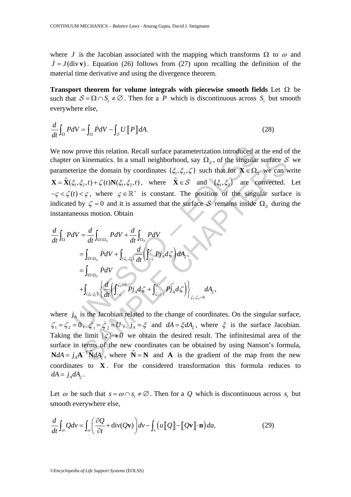where *J* is the Jacobian associated with the mapping which transforms  $\Omega$  to  $\omega$  and  $\dot{J} = J(\text{div } v)$ . Equation (26) follows from (27) upon recalling the definition of the material time derivative and using the divergence theorem.

**Transport theorem for volume integrals with piecewise smooth fields** Let Ω be such that  $S = \Omega \cap S_i \neq \emptyset$ . Then for a *P* which is discontinuous across  $S_i$  but smooth everywhere else,

$$
\frac{d}{dt}\int_{\Omega} PdV = \int_{\Omega} \dot{P}dV - \int_{\mathcal{S}} U\left[\!\left[\,P\,\right]\!\right] dA. \tag{28}
$$

v prove this relation. Recall surface parameterization introduced a<br>
on kinematics. In a small neighborhood, say  $\Omega_s$ , of the singular<br>
terize the domain by coordinates  $\{\xi_1, \xi_2, \zeta\}$  such that for  $\mathbf{X} \in \Omega$ ,<br>  $\xi$ kinematics. In a small neighborhood, say  $\Omega_s$ , of the singular surface  $S$ <br>
ze the domain by coordinates  $\{\xi_1, \xi_2, \zeta\}$  such that for  $\mathbf{X} \in \Omega_s$  we can v<br>  $\xi_2, t) + \zeta(t) \mathbf{N}(\xi_1, \xi_2, t)$ , where  $\hat{\mathbf{X}} \in S$  and We now prove this relation. Recall surface parameterization introduced at the end of the chapter on kinematics. In a small neighborhood, say  $\Omega_s$ , of the singular surface S we parameterize the domain by coordinates  $\{\xi_1, \xi_2, \zeta\}$  such that for  $\mathbf{X} \in \Omega$ <sub>S</sub> we can write  $\mathbf{X} = \mathbf{\hat{X}}(\xi_1, \xi_2, t) + \zeta(t) \mathbf{N}(\xi_1, \xi_2, t)$ , where  $\mathbf{\hat{X}} \in S$  and  $\{\xi_1, \xi_2\}$  are convected. Let  $-\zeta < \zeta(t) < \zeta$ , where  $\zeta \in \mathbb{R}^+$  is constant. The position of the singular surface is indicated by  $\zeta = 0$  and it is assumed that the surface S remains inside  $\Omega_s$  during the instantaneous motion. Obtain

$$
\frac{d}{dt}\int_{\Omega} PdV = \frac{d}{dt}\int_{\Omega\setminus\Omega_{S}} PdV + \frac{d}{dt}\int_{\Omega_{S}} PdV
$$
\n
$$
= \int_{\Omega\setminus\Omega_{S}} \dot{P}dV + \int_{(\xi_{1},\xi_{2})} \frac{d}{dt} \left( \int_{-\varsigma}^{\varsigma} P\dot{J}_{A} d\zeta \right) dA_{\xi},
$$
\n
$$
= \int_{\Omega\setminus\Omega_{S}} \dot{P}dV + \int_{(\xi_{1},\xi_{2})} \left\{ \frac{d}{dt} \left( \int_{-\varsigma}^{\varsigma_{1}(t)} P\dot{J}_{A} d\zeta + \int_{\varsigma_{2}(t)}^{\varsigma} P\dot{J}_{A} d\zeta \right) \right\}_{\varsigma_{1},\varsigma_{2}=0} dA_{\xi},
$$

where  $j_A$  is the Jacobian related to the change of coordinates. On the singular surface,  $\zeta_1 = \zeta_2 = 0$ ,  $\dot{\zeta}_1 = \dot{\zeta}_2 = U$ ,  $\dot{J}_A = \xi$  and  $dA = \xi dA_\xi$ , where  $\xi$  is the surface Jacobian. Taking the limit  $|\varsigma| \to 0$  we obtain the desired result. The infinitesimal area of the surface in terms of the new coordinates can be obtained by using Nanson's formula,  $N dA = j_A \mathbf{A}^{-T} \hat{\mathbf{N}} dA_{\xi}$ , where  $\hat{\mathbf{N}} = \mathbf{N}$  and  $\mathbf{A}$  is the gradient of the map from the new coordinates to **X** . For the considered transformation this formula reduces to  $dA = j_A dA_{\varepsilon}$ .

Let  $\omega$  be such that  $s = \omega \cap s$ ,  $\neq \emptyset$ . Then for a Q which is discontinuous across  $s$ , but smooth everywhere else,

$$
\frac{d}{dt}\int_{\omega} Qdv = \int_{\omega} \left(\frac{\partial Q}{\partial t} + \text{div}(Q\mathbf{v})\right) dv - \int_{s} \left(u \left[\!\left[Q\right]\!\right] - \left[\!\left[Q\mathbf{v}\right]\!\right] \cdot \mathbf{n}\right) da,\tag{29}
$$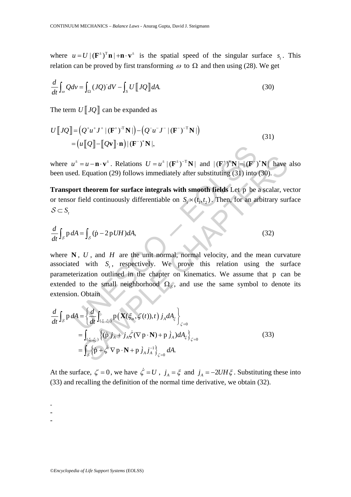where  $u = U | (F^{\pm})^T \mathbf{n} | + \mathbf{n} \cdot \mathbf{v}^{\pm}$  is the spatial speed of the singular surface *s*. This relation can be proved by first transforming  $\omega$  to  $\Omega$  and then using (28). We get

$$
\frac{d}{dt}\int_{\omega} Qd\nu = \int_{\Omega} (JQ)^{\cdot} dV - \int_{S} U \left[ JQ \right] dA. \tag{30}
$$

The term  $U$   $JQ$  can be expanded as

$$
U[[JQ]] = (Q^+u^+J^+|(F^+)^T N|) - (Q^-u^-J^-|(F^-)^T N|)
$$
  
=  $(u[[Q]] - [[Qv]] \cdot n)| (F^-)^* N|,$  (31)

where  $u^{\pm} = u - \mathbf{n} \cdot \mathbf{v}^{\pm}$ . Relations  $U = u^{\pm} |(\mathbf{F}^{\pm})^{-T} \mathbf{N}|$  and  $|(\mathbf{F}^{\pm})^* \mathbf{N}| = |(\mathbf{F}^{\pm})^* \mathbf{N}|$  have also been used. Equation (29) follows immediately after substituting (31) into (30).

**Transport theorem for surface integrals with smooth fields** Let p be a scalar, vector or tensor field continuously differentiable on  $S_r \times (t_1, t_2)$ . Then, for an arbitrary surface  $S$  ⊂ *S*.

$$
\frac{d}{dt}\int_{\mathcal{S}} p \, dA = \int_{\mathcal{S}} (\dot{p} - 2p \, UH) dA,\tag{32}
$$

 $(u^{\dagger} = u - \mathbf{n} \cdot \mathbf{v}^{\dagger}$ . Relations  $U = u^{\dagger} |(\mathbf{F}^{\dagger})^{-T} \mathbf{N}|$  and  $|(\mathbf{F}^{\dagger})^{\dagger} \mathbf{N}| = |(\mathbf{F}^{\dagger})$ <br>ed. Equation (29) follows immediately after substituting (31) into<br>ort theorem for surface integrals with where  $N$ ,  $U$ , and  $H$  are the unit normal, normal velocity, and the mean curvature associated with  $S_t$ , respectively. We prove this relation using the surface parameterization outlined in the chapter on kinematics. We assume that p can be extended to the small neighborhood  $\Omega_s$ , and use the same symbol to denote its extension. Obtain

where 
$$
u^{\pm} = u - \mathbf{n} \cdot \mathbf{v}^{\pm}
$$
. Relations  $U = u^{\pm} |(\mathbf{F}^{\pm})^{-T} \mathbf{N}|$  and  $|\left(\mathbf{F}^{\pm}\right)^{*} \mathbf{N}| = |\left(\mathbf{F}^{\pm}\right)^{*} \mathbf{N}|$  have  
been used. Equation (29) follows immediately after substituting (31) into (30).  
**Transport theorem for surface integrals with smooth fields** Let p be a scalar, ve  
or tensor field continuously differentiable on  $S_r \times (t_1, t_2)$ . Then, for an arbitrary sur  
 $S \subset S_r$   
 $\frac{d}{dt} \int_S p dA = \int_S (\dot{p} - 2p U H) dA$ , (32)  
where **N**, U, and H are the unit normal, normal velocity, and the mean curva  
associated with  $S_r$ , respectively. We prove this relation using the sur  
parameterization outlined in the chapter on kinematics. We assume that p car  
extended to the small neighborhood  $\Omega_S$ , and use the same symbol to denote  
extension. Obtain  

$$
\frac{d}{dt} \int_S p dA = \left\{ \frac{d}{dt} \int_{(\xi_1, \xi_2)} p(\mathbf{X}(\xi_{\alpha}, \xi(t)), t) j_A dA_{\xi} \right\}_{\zeta=0}
$$

$$
= \int_{(\xi_1, \xi_2)} \left\{ (\dot{p} j_A + j_A \dot{\zeta} (\nabla p \cdot \mathbf{N}) + p j_A) dA_{\xi} \right\}_{\zeta=0}
$$
(33)
$$
= \int_S {\left\{ \dot{p} + \dot{\zeta} \nabla p \cdot \mathbf{N} + p j_A j_A \right\}_{\zeta=0}} dA.
$$

At the surface,  $\zeta = 0$ , we have  $\dot{\zeta} = U$ ,  $j_A = \xi$  and  $j_A = -2UH\xi$ . Substituting these into (33) and recalling the definition of the normal time derivative, we obtain (32).

-

-

-